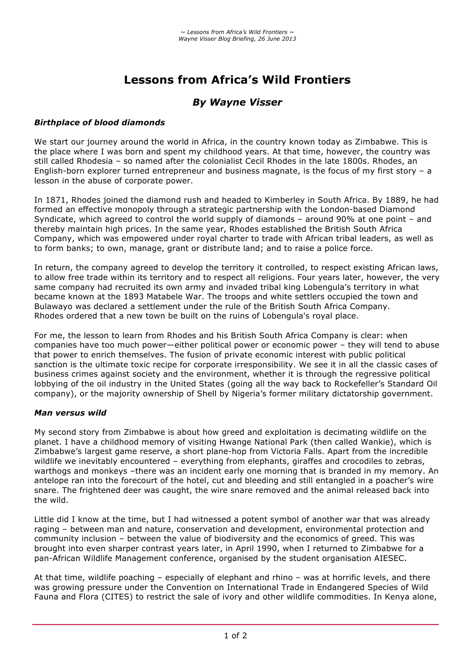# **Lessons from Africa's Wild Frontiers**

## *By Wayne Visser*

#### *Birthplace of blood diamonds*

We start our journey around the world in Africa, in the country known today as Zimbabwe. This is the place where I was born and spent my childhood years. At that time, however, the country was still called Rhodesia – so named after the colonialist Cecil Rhodes in the late 1800s. Rhodes, an English-born explorer turned entrepreneur and business magnate, is the focus of my first story – a lesson in the abuse of corporate power.

In 1871, Rhodes joined the diamond rush and headed to Kimberley in South Africa. By 1889, he had formed an effective monopoly through a strategic partnership with the London-based Diamond Syndicate, which agreed to control the world supply of diamonds – around 90% at one point – and thereby maintain high prices. In the same year, Rhodes established the British South Africa Company, which was empowered under royal charter to trade with African tribal leaders, as well as to form banks; to own, manage, grant or distribute land; and to raise a police force.

In return, the company agreed to develop the territory it controlled, to respect existing African laws, to allow free trade within its territory and to respect all religions. Four years later, however, the very same company had recruited its own army and invaded tribal king Lobengula's territory in what became known at the 1893 Matabele War. The troops and white settlers occupied the town and Bulawayo was declared a settlement under the rule of the British South Africa Company. Rhodes ordered that a new town be built on the ruins of Lobengula's royal place.

For me, the lesson to learn from Rhodes and his British South Africa Company is clear: when companies have too much power—either political power or economic power – they will tend to abuse that power to enrich themselves. The fusion of private economic interest with public political sanction is the ultimate toxic recipe for corporate irresponsibility. We see it in all the classic cases of business crimes against society and the environment, whether it is through the regressive political lobbying of the oil industry in the United States (going all the way back to Rockefeller's Standard Oil company), or the majority ownership of Shell by Nigeria's former military dictatorship government.

### *Man versus wild*

My second story from Zimbabwe is about how greed and exploitation is decimating wildlife on the planet. I have a childhood memory of visiting Hwange National Park (then called Wankie), which is Zimbabwe's largest game reserve, a short plane-hop from Victoria Falls. Apart from the incredible wildlife we inevitably encountered – everything from elephants, giraffes and crocodiles to zebras, warthogs and monkeys –there was an incident early one morning that is branded in my memory. An antelope ran into the forecourt of the hotel, cut and bleeding and still entangled in a poacher's wire snare. The frightened deer was caught, the wire snare removed and the animal released back into the wild.

Little did I know at the time, but I had witnessed a potent symbol of another war that was already raging – between man and nature, conservation and development, environmental protection and community inclusion – between the value of biodiversity and the economics of greed. This was brought into even sharper contrast years later, in April 1990, when I returned to Zimbabwe for a pan-African Wildlife Management conference, organised by the student organisation AIESEC.

At that time, wildlife poaching – especially of elephant and rhino – was at horrific levels, and there was growing pressure under the Convention on International Trade in Endangered Species of Wild Fauna and Flora (CITES) to restrict the sale of ivory and other wildlife commodities. In Kenya alone,